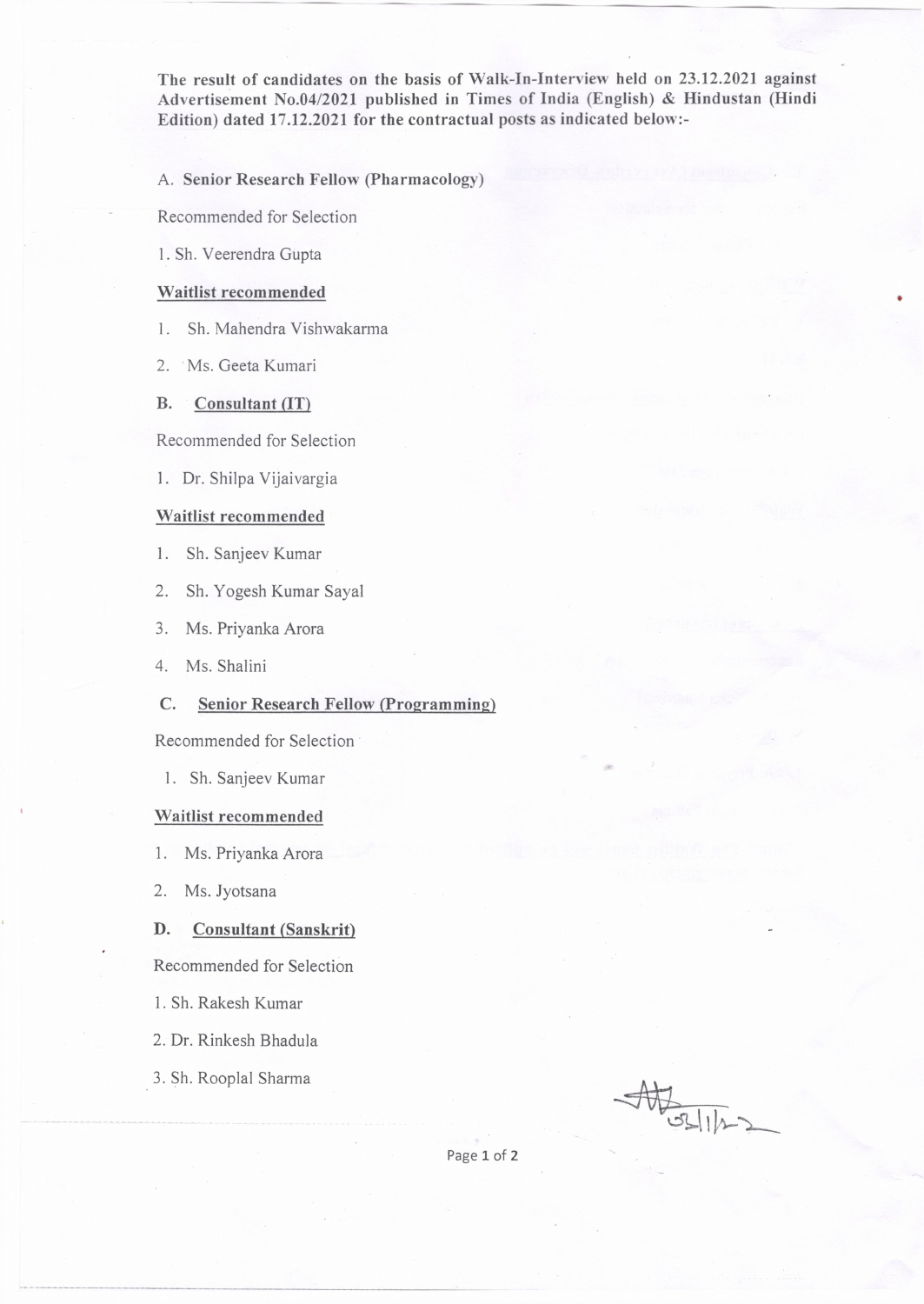**The result of candidates on the basis of Walk-In-Interview held on 23.12.2021 against Advertisement No.04/2021 published in Times of India (English) & Hindustan (Hindi Edition) dated 17.12.2021 for the contractual posts as indicated below:-**

**A. Senior Research Fellow (Pharmacology)**

Recommended for Selection

1. Sh. Veerendra Gupta

### **Waitlist recommended**

- 1. Sh. Mahendra Vishwakarma
- 2. Ms. Geeta Kumari

# **B. Consultant (IT)**

Recommended for Selection

1. Dr. Shilpa Vijaivargia

## **Waitlist recommended**

- 1. Sh. Sanjeev Kumar
- 2. Sh. Yogesh Kumar Sayal
- 3. Ms. Priyanka Arora
- 4. Ms. Shalini

### **C. Senior Research Fellow (Programming)**

Recommended for Selection

1. Sh. Sanjeev Kumar

## **Waitlist recommended**

- 1. Ms. Priyanka Arora
- 2. Ms. Jyotsana

#### **D. Consultant (Sanskrit)**

Recommended for Selection

- 1. Sh. Rakesh Kumar
- 2. Dr. Rinkesh Bhadula
- 3. Sh. Rooplal Sharma

AHSSILL

Page 1 of 2